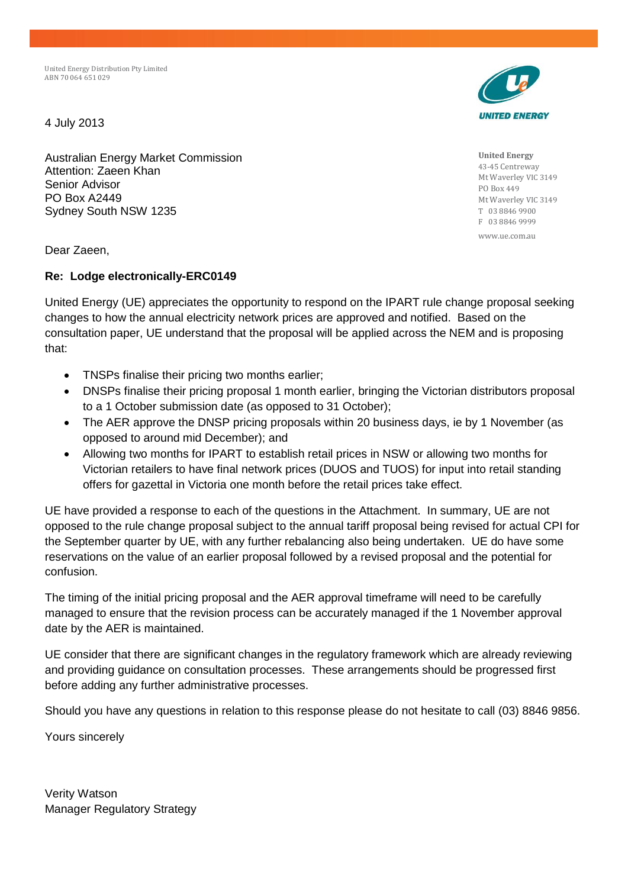United Energy Distribution Pty Limited ABN 70 064 651 029

4 July 2013

Australian Energy Market Commission Attention: Zaeen Khan Senior Advisor PO Box A2449 Sydney South NSW 1235

Dear Zaeen,

## **Re: Lodge electronically-ERC0149**

United Energy (UE) appreciates the opportunity to respond on the IPART rule change proposal seeking changes to how the annual electricity network prices are approved and notified. Based on the consultation paper, UE understand that the proposal will be applied across the NEM and is proposing that:

- TNSPs finalise their pricing two months earlier;
- DNSPs finalise their pricing proposal 1 month earlier, bringing the Victorian distributors proposal to a 1 October submission date (as opposed to 31 October);
- The AER approve the DNSP pricing proposals within 20 business days, ie by 1 November (as opposed to around mid December); and
- Allowing two months for IPART to establish retail prices in NSW or allowing two months for Victorian retailers to have final network prices (DUOS and TUOS) for input into retail standing offers for gazettal in Victoria one month before the retail prices take effect.

UE have provided a response to each of the questions in the Attachment. In summary, UE are not opposed to the rule change proposal subject to the annual tariff proposal being revised for actual CPI for the September quarter by UE, with any further rebalancing also being undertaken. UE do have some reservations on the value of an earlier proposal followed by a revised proposal and the potential for confusion.

The timing of the initial pricing proposal and the AER approval timeframe will need to be carefully managed to ensure that the revision process can be accurately managed if the 1 November approval date by the AER is maintained.

UE consider that there are significant changes in the regulatory framework which are already reviewing and providing guidance on consultation processes. These arrangements should be progressed first before adding any further administrative processes.

Should you have any questions in relation to this response please do not hesitate to call (03) 8846 9856.

Yours sincerely

Verity Watson Manager Regulatory Strategy



**United Energy** 43-45 Centreway Mt Waverley VIC 3149 PO Box 449 Mt Waverley VIC 3149 T 03 8846 9900 F 03 8846 9999 www.ue.com.au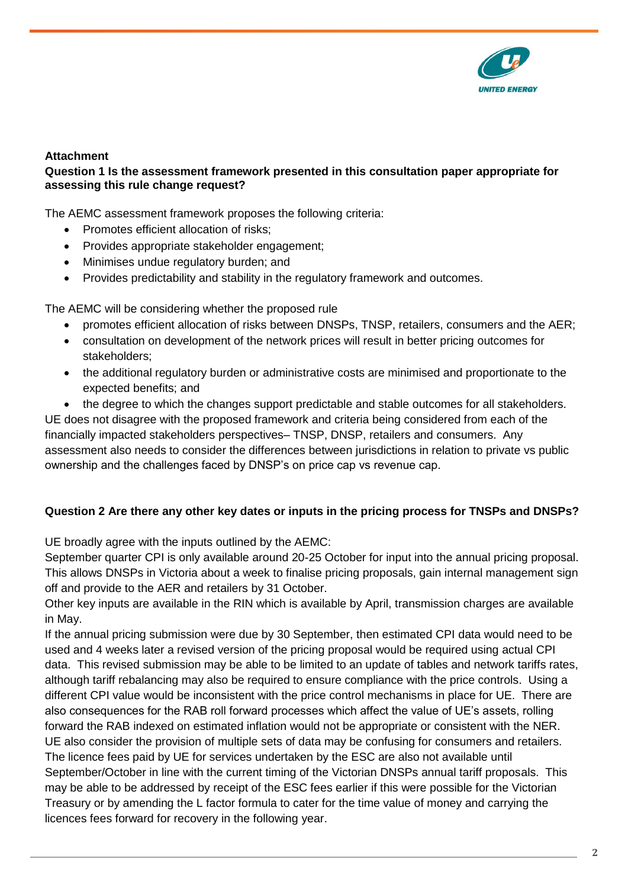

# **Attachment**

# **Question 1 Is the assessment framework presented in this consultation paper appropriate for assessing this rule change request?**

The AEMC assessment framework proposes the following criteria:

- Promotes efficient allocation of risks;
- Provides appropriate stakeholder engagement;
- Minimises undue regulatory burden; and
- Provides predictability and stability in the regulatory framework and outcomes.

The AEMC will be considering whether the proposed rule

- promotes efficient allocation of risks between DNSPs, TNSP, retailers, consumers and the AER;
- consultation on development of the network prices will result in better pricing outcomes for stakeholders;
- the additional regulatory burden or administrative costs are minimised and proportionate to the expected benefits; and
- the degree to which the changes support predictable and stable outcomes for all stakeholders.

UE does not disagree with the proposed framework and criteria being considered from each of the financially impacted stakeholders perspectives– TNSP, DNSP, retailers and consumers. Any assessment also needs to consider the differences between jurisdictions in relation to private vs public ownership and the challenges faced by DNSP's on price cap vs revenue cap.

# **Question 2 Are there any other key dates or inputs in the pricing process for TNSPs and DNSPs?**

UE broadly agree with the inputs outlined by the AEMC:

September quarter CPI is only available around 20-25 October for input into the annual pricing proposal. This allows DNSPs in Victoria about a week to finalise pricing proposals, gain internal management sign off and provide to the AER and retailers by 31 October.

Other key inputs are available in the RIN which is available by April, transmission charges are available in May.

If the annual pricing submission were due by 30 September, then estimated CPI data would need to be used and 4 weeks later a revised version of the pricing proposal would be required using actual CPI data. This revised submission may be able to be limited to an update of tables and network tariffs rates, although tariff rebalancing may also be required to ensure compliance with the price controls. Using a different CPI value would be inconsistent with the price control mechanisms in place for UE. There are also consequences for the RAB roll forward processes which affect the value of UE's assets, rolling forward the RAB indexed on estimated inflation would not be appropriate or consistent with the NER. UE also consider the provision of multiple sets of data may be confusing for consumers and retailers. The licence fees paid by UE for services undertaken by the ESC are also not available until September/October in line with the current timing of the Victorian DNSPs annual tariff proposals. This may be able to be addressed by receipt of the ESC fees earlier if this were possible for the Victorian Treasury or by amending the L factor formula to cater for the time value of money and carrying the licences fees forward for recovery in the following year.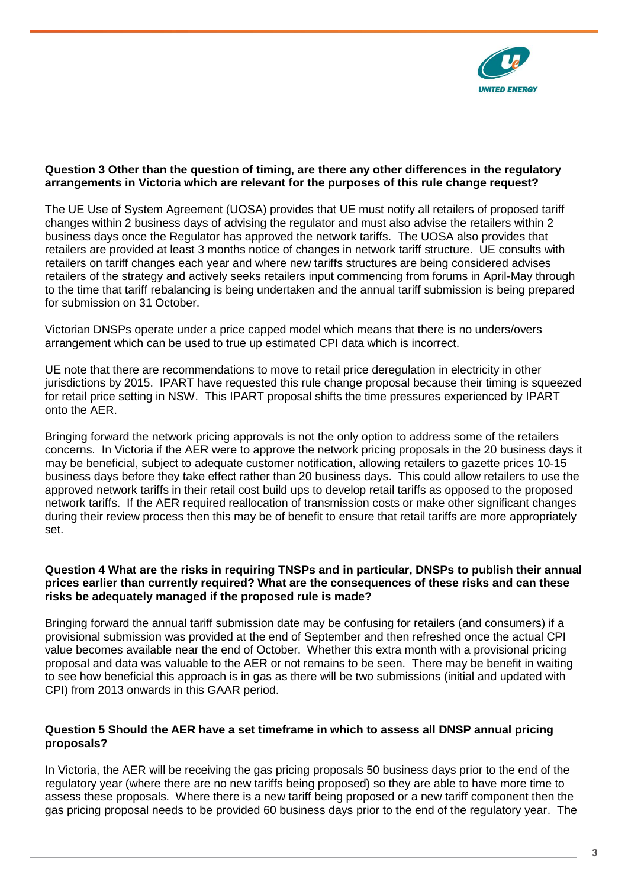

## **Question 3 Other than the question of timing, are there any other differences in the regulatory arrangements in Victoria which are relevant for the purposes of this rule change request?**

The UE Use of System Agreement (UOSA) provides that UE must notify all retailers of proposed tariff changes within 2 business days of advising the regulator and must also advise the retailers within 2 business days once the Regulator has approved the network tariffs. The UOSA also provides that retailers are provided at least 3 months notice of changes in network tariff structure. UE consults with retailers on tariff changes each year and where new tariffs structures are being considered advises retailers of the strategy and actively seeks retailers input commencing from forums in April-May through to the time that tariff rebalancing is being undertaken and the annual tariff submission is being prepared for submission on 31 October.

Victorian DNSPs operate under a price capped model which means that there is no unders/overs arrangement which can be used to true up estimated CPI data which is incorrect.

UE note that there are recommendations to move to retail price deregulation in electricity in other jurisdictions by 2015. IPART have requested this rule change proposal because their timing is squeezed for retail price setting in NSW. This IPART proposal shifts the time pressures experienced by IPART onto the AER.

Bringing forward the network pricing approvals is not the only option to address some of the retailers concerns. In Victoria if the AER were to approve the network pricing proposals in the 20 business days it may be beneficial, subject to adequate customer notification, allowing retailers to gazette prices 10-15 business days before they take effect rather than 20 business days. This could allow retailers to use the approved network tariffs in their retail cost build ups to develop retail tariffs as opposed to the proposed network tariffs. If the AER required reallocation of transmission costs or make other significant changes during their review process then this may be of benefit to ensure that retail tariffs are more appropriately set.

#### **Question 4 What are the risks in requiring TNSPs and in particular, DNSPs to publish their annual prices earlier than currently required? What are the consequences of these risks and can these risks be adequately managed if the proposed rule is made?**

Bringing forward the annual tariff submission date may be confusing for retailers (and consumers) if a provisional submission was provided at the end of September and then refreshed once the actual CPI value becomes available near the end of October. Whether this extra month with a provisional pricing proposal and data was valuable to the AER or not remains to be seen. There may be benefit in waiting to see how beneficial this approach is in gas as there will be two submissions (initial and updated with CPI) from 2013 onwards in this GAAR period.

## **Question 5 Should the AER have a set timeframe in which to assess all DNSP annual pricing proposals?**

In Victoria, the AER will be receiving the gas pricing proposals 50 business days prior to the end of the regulatory year (where there are no new tariffs being proposed) so they are able to have more time to assess these proposals. Where there is a new tariff being proposed or a new tariff component then the gas pricing proposal needs to be provided 60 business days prior to the end of the regulatory year. The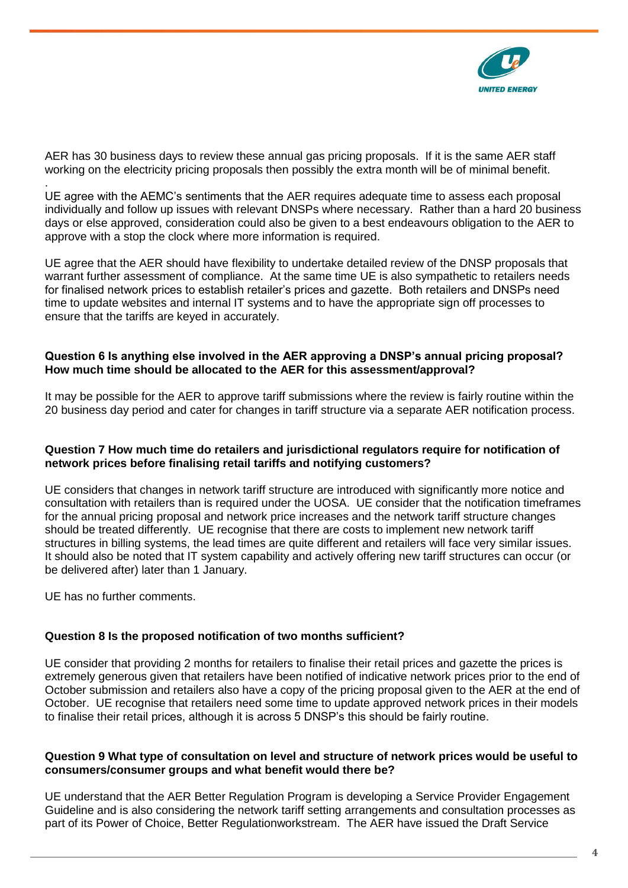

AER has 30 business days to review these annual gas pricing proposals. If it is the same AER staff working on the electricity pricing proposals then possibly the extra month will be of minimal benefit.

. UE agree with the AEMC's sentiments that the AER requires adequate time to assess each proposal individually and follow up issues with relevant DNSPs where necessary. Rather than a hard 20 business days or else approved, consideration could also be given to a best endeavours obligation to the AER to approve with a stop the clock where more information is required.

UE agree that the AER should have flexibility to undertake detailed review of the DNSP proposals that warrant further assessment of compliance. At the same time UE is also sympathetic to retailers needs for finalised network prices to establish retailer's prices and gazette. Both retailers and DNSPs need time to update websites and internal IT systems and to have the appropriate sign off processes to ensure that the tariffs are keyed in accurately.

## **Question 6 Is anything else involved in the AER approving a DNSP's annual pricing proposal? How much time should be allocated to the AER for this assessment/approval?**

It may be possible for the AER to approve tariff submissions where the review is fairly routine within the 20 business day period and cater for changes in tariff structure via a separate AER notification process.

## **Question 7 How much time do retailers and jurisdictional regulators require for notification of network prices before finalising retail tariffs and notifying customers?**

UE considers that changes in network tariff structure are introduced with significantly more notice and consultation with retailers than is required under the UOSA. UE consider that the notification timeframes for the annual pricing proposal and network price increases and the network tariff structure changes should be treated differently. UE recognise that there are costs to implement new network tariff structures in billing systems, the lead times are quite different and retailers will face very similar issues. It should also be noted that IT system capability and actively offering new tariff structures can occur (or be delivered after) later than 1 January.

UE has no further comments.

## **Question 8 Is the proposed notification of two months sufficient?**

UE consider that providing 2 months for retailers to finalise their retail prices and gazette the prices is extremely generous given that retailers have been notified of indicative network prices prior to the end of October submission and retailers also have a copy of the pricing proposal given to the AER at the end of October. UE recognise that retailers need some time to update approved network prices in their models to finalise their retail prices, although it is across 5 DNSP's this should be fairly routine.

### **Question 9 What type of consultation on level and structure of network prices would be useful to consumers/consumer groups and what benefit would there be?**

UE understand that the AER Better Regulation Program is developing a Service Provider Engagement Guideline and is also considering the network tariff setting arrangements and consultation processes as part of its Power of Choice, Better Regulationworkstream. The AER have issued the Draft Service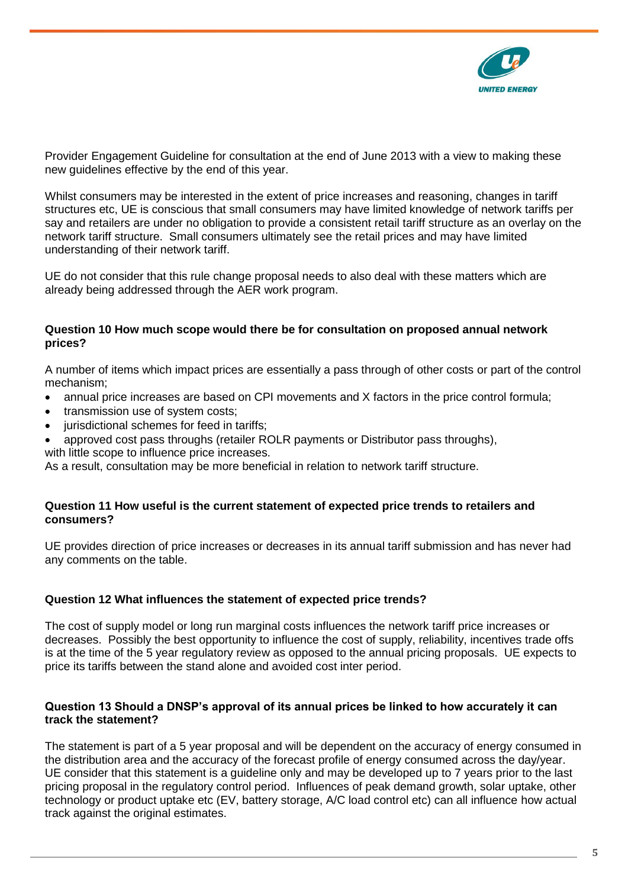

Provider Engagement Guideline for consultation at the end of June 2013 with a view to making these new guidelines effective by the end of this year.

Whilst consumers may be interested in the extent of price increases and reasoning, changes in tariff structures etc, UE is conscious that small consumers may have limited knowledge of network tariffs per say and retailers are under no obligation to provide a consistent retail tariff structure as an overlay on the network tariff structure. Small consumers ultimately see the retail prices and may have limited understanding of their network tariff.

UE do not consider that this rule change proposal needs to also deal with these matters which are already being addressed through the AER work program.

## **Question 10 How much scope would there be for consultation on proposed annual network prices?**

A number of items which impact prices are essentially a pass through of other costs or part of the control mechanism;

- annual price increases are based on CPI movements and X factors in the price control formula;
- transmission use of system costs;
- jurisdictional schemes for feed in tariffs;
- approved cost pass throughs (retailer ROLR payments or Distributor pass throughs), with little scope to influence price increases.

As a result, consultation may be more beneficial in relation to network tariff structure.

### **Question 11 How useful is the current statement of expected price trends to retailers and consumers?**

UE provides direction of price increases or decreases in its annual tariff submission and has never had any comments on the table.

## **Question 12 What influences the statement of expected price trends?**

The cost of supply model or long run marginal costs influences the network tariff price increases or decreases. Possibly the best opportunity to influence the cost of supply, reliability, incentives trade offs is at the time of the 5 year regulatory review as opposed to the annual pricing proposals. UE expects to price its tariffs between the stand alone and avoided cost inter period.

### **Question 13 Should a DNSP's approval of its annual prices be linked to how accurately it can track the statement?**

The statement is part of a 5 year proposal and will be dependent on the accuracy of energy consumed in the distribution area and the accuracy of the forecast profile of energy consumed across the day/year. UE consider that this statement is a guideline only and may be developed up to 7 years prior to the last pricing proposal in the regulatory control period. Influences of peak demand growth, solar uptake, other technology or product uptake etc (EV, battery storage, A/C load control etc) can all influence how actual track against the original estimates.